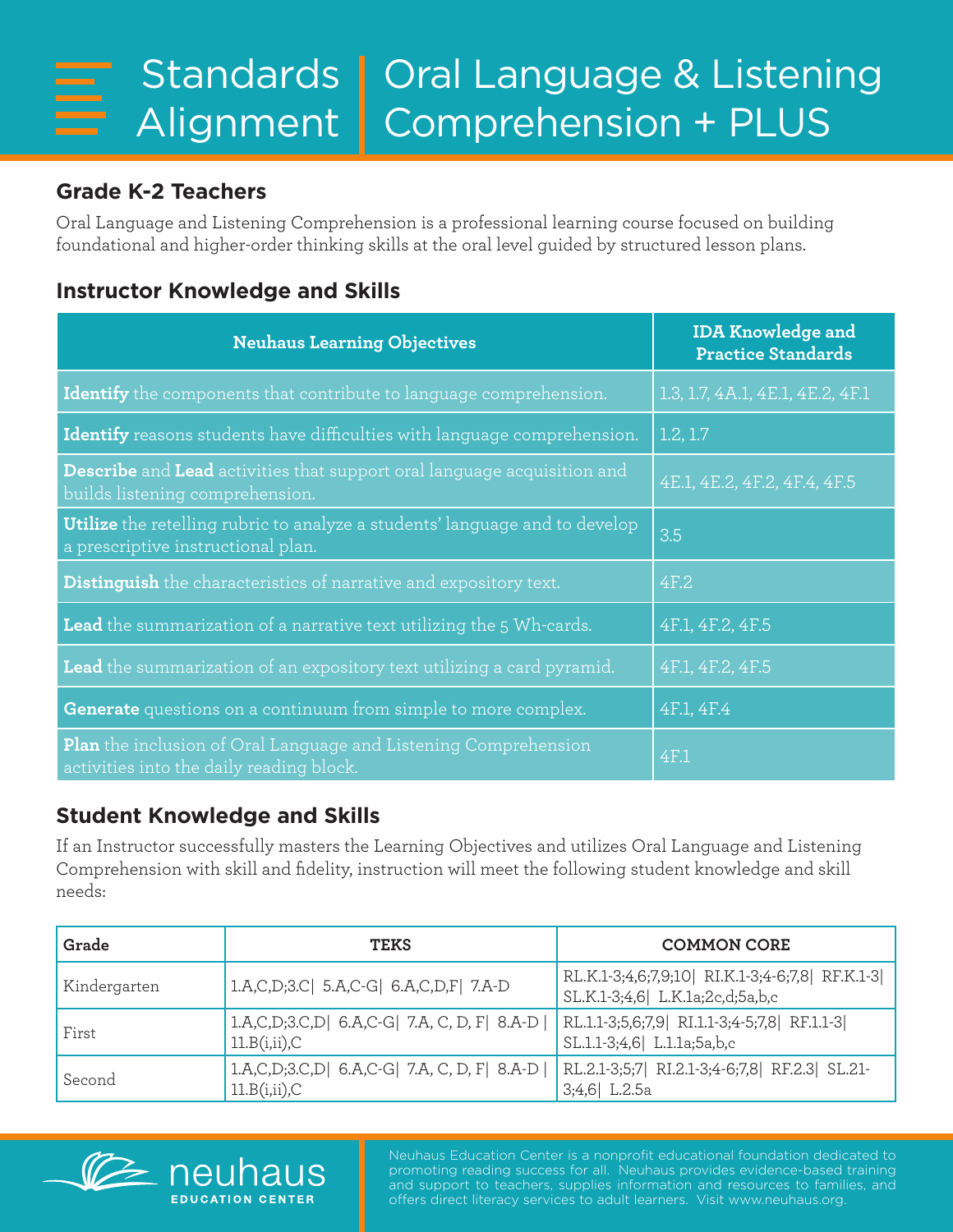## **Grade K-2 Teachers**

Oral Language and Listening Comprehension is a professional learning course focused on building foundational and higher-order thinking skills at the oral level guided by structured lesson plans.

## **Instructor Knowledge and Skills**

| <b>Neuhaus Learning Objectives</b>                                                                                       | <b>IDA Knowledge and</b><br><b>Practice Standards</b> |
|--------------------------------------------------------------------------------------------------------------------------|-------------------------------------------------------|
| Identify the components that contribute to language comprehension.                                                       | 1.3, 1.7, 4A.1, 4E.1, 4E.2, 4F.1                      |
| <b>Identify</b> reasons students have difficulties with language comprehension.                                          | 1.2, 1.7                                              |
| <b>Describe</b> and Lead activities that support oral language acquisition and<br>builds listening comprehension.        | 4E.1, 4E.2, 4F.2, 4F.4, 4F.5                          |
| <b>Utilize</b> the retelling rubric to analyze a students' language and to develop<br>a prescriptive instructional plan. | 3.5                                                   |
| <b>Distinguish</b> the characteristics of narrative and expository text.                                                 | 4F.2                                                  |
| <b>Lead</b> the summarization of a narrative text utilizing the 5 Wh-cards.                                              | 4F.1, 4F.2, 4F.5                                      |
| Lead the summarization of an expository text utilizing a card pyramid.                                                   | 4F.1, 4F.2, 4F.5                                      |
| Generate questions on a continuum from simple to more complex.                                                           | 4F.1, 4F.4                                            |
| <b>Plan</b> the inclusion of Oral Language and Listening Comprehension<br>activities into the daily reading block.       | 4F.1                                                  |

## **Student Knowledge and Skills**

If an Instructor successfully masters the Learning Objectives and utilizes Oral Language and Listening Comprehension with skill and fidelity, instruction will meet the following student knowledge and skill needs:

| Grade        | <b>TEKS</b>                                                        | <b>COMMON CORE</b>                                                               |
|--------------|--------------------------------------------------------------------|----------------------------------------------------------------------------------|
| Kindergarten | 1.A,C,D;3.C  5.A,C-G  6.A,C,D,F  7.A-D                             | RL.K.1-3;4,6;7,9;10 RI.K.1-3;4-6;7,8 RF.K.1-3<br>SL.K.1-3;4,6 L.K.1a;2c,d;5a,b,c |
| First        | 1.A,C,D,3.C,D  6.A,C-G  7.A, C, D, F  8.A-D <br>$11.B(i,ii)$ , $C$ | RL.1.1-3;5,6;7,9  RI.1.1-3;4-5;7,8  RF.1.1-3 <br>SL.1.1-3;4,6 L.1.1a;5a,b,c      |
| Second       | 1.A,C,D,3.C,D  6.A,C-G  7.A, C, D, F  8.A-D <br>$11.B(i,ii)$ , $C$ | RL.2.1-3;5;7 RI.2.1-3;4-6;7,8 RF.2.3 SL.21-<br>$3;4,6$ L.2.5a                    |



Neuhaus Education Center is a nonprofit educational foundation dedicated to promoting reading success for all. Neuhaus provides evidence-based training and support to teachers, supplies information and resources to families, and offers direct literacy services to adult learners. Visit www.neuhaus.org.